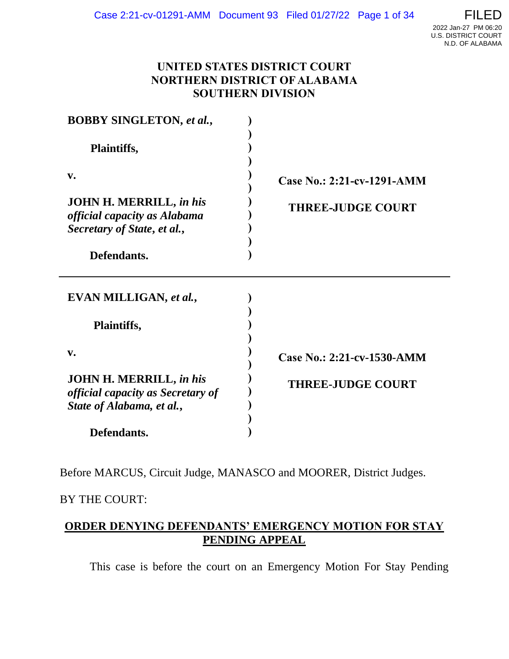### **UNITED STATES DISTRICT COURT NORTHERN DISTRICT OF ALABAMA SOUTHERN DIVISION**

| <b>BOBBY SINGLETON, et al.,</b><br>Plaintiffs,                                                          |                            |
|---------------------------------------------------------------------------------------------------------|----------------------------|
|                                                                                                         |                            |
| <b>JOHN H. MERRILL, in his</b><br><i>official capacity as Alabama</i><br>Secretary of State, et al.,    | <b>THREE-JUDGE COURT</b>   |
| Defendants.                                                                                             |                            |
| EVAN MILLIGAN, et al.,                                                                                  |                            |
| <b>Plaintiffs,</b>                                                                                      |                            |
| $\mathbf{v}$ .                                                                                          | Case No.: 2:21-cv-1530-AMM |
| <b>JOHN H. MERRILL, in his</b><br><i>official capacity as Secretary of</i><br>State of Alabama, et al., | <b>THREE-JUDGE COURT</b>   |
| Defendants.                                                                                             |                            |

Before MARCUS, Circuit Judge, MANASCO and MOORER, District Judges.

### BY THE COURT:

# **ORDER DENYING DEFENDANTS' EMERGENCY MOTION FOR STAY PENDING APPEAL**

This case is before the court on an Emergency Motion For Stay Pending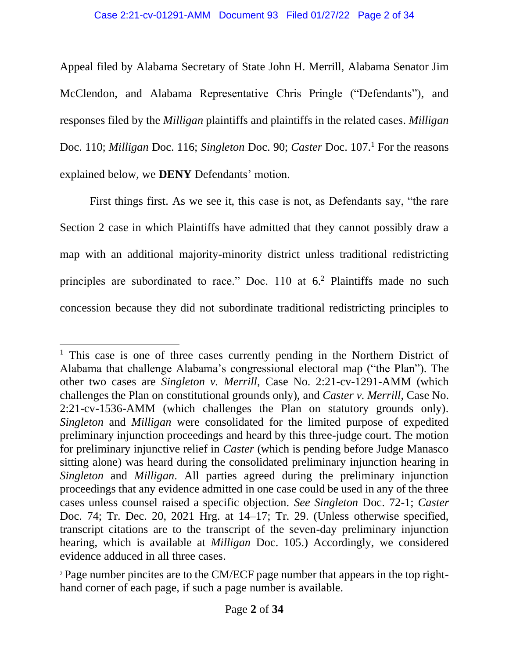Appeal filed by Alabama Secretary of State John H. Merrill, Alabama Senator Jim McClendon, and Alabama Representative Chris Pringle ("Defendants"), and responses filed by the *Milligan* plaintiffs and plaintiffs in the related cases. *Milligan*  Doc. 110; *Milligan* Doc. 116; *Singleton* Doc. 90; *Caster* Doc. 107. <sup>1</sup> For the reasons explained below, we **DENY** Defendants' motion.

First things first. As we see it, this case is not, as Defendants say, "the rare Section 2 case in which Plaintiffs have admitted that they cannot possibly draw a map with an additional majority-minority district unless traditional redistricting principles are subordinated to race." Doc. 110 at  $6<sup>2</sup>$  Plaintiffs made no such concession because they did not subordinate traditional redistricting principles to

<sup>&</sup>lt;sup>1</sup> This case is one of three cases currently pending in the Northern District of Alabama that challenge Alabama's congressional electoral map ("the Plan"). The other two cases are *Singleton v. Merrill*, Case No. 2:21-cv-1291-AMM (which challenges the Plan on constitutional grounds only), and *Caster v. Merrill*, Case No. 2:21-cv-1536-AMM (which challenges the Plan on statutory grounds only). *Singleton* and *Milligan* were consolidated for the limited purpose of expedited preliminary injunction proceedings and heard by this three-judge court. The motion for preliminary injunctive relief in *Caster* (which is pending before Judge Manasco sitting alone) was heard during the consolidated preliminary injunction hearing in *Singleton* and *Milligan*. All parties agreed during the preliminary injunction proceedings that any evidence admitted in one case could be used in any of the three cases unless counsel raised a specific objection. *See Singleton* Doc. 72-1; *Caster*  Doc. 74; Tr. Dec. 20, 2021 Hrg. at 14–17; Tr. 29. (Unless otherwise specified, transcript citations are to the transcript of the seven-day preliminary injunction hearing, which is available at *Milligan* Doc. 105.) Accordingly, we considered evidence adduced in all three cases.

<sup>2</sup> Page number pincites are to the CM/ECF page number that appears in the top righthand corner of each page, if such a page number is available.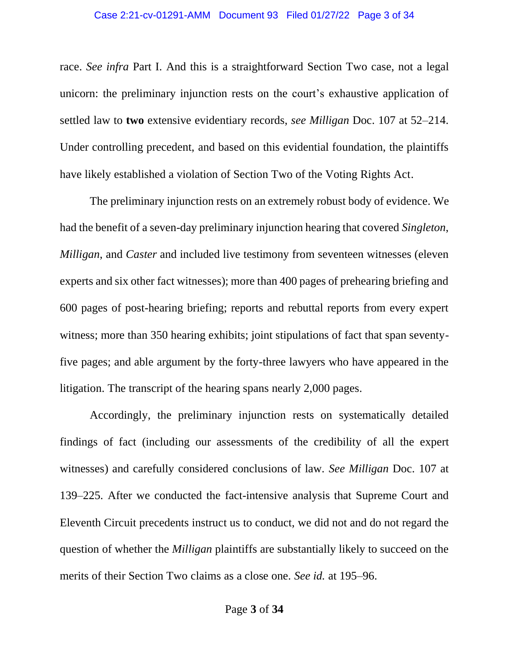race. *See infra* Part I. And this is a straightforward Section Two case, not a legal unicorn: the preliminary injunction rests on the court's exhaustive application of settled law to **two** extensive evidentiary records, *see Milligan* Doc. 107 at 52–214. Under controlling precedent, and based on this evidential foundation, the plaintiffs have likely established a violation of Section Two of the Voting Rights Act.

The preliminary injunction rests on an extremely robust body of evidence. We had the benefit of a seven-day preliminary injunction hearing that covered *Singleton*, *Milligan*, and *Caster* and included live testimony from seventeen witnesses (eleven experts and six other fact witnesses); more than 400 pages of prehearing briefing and 600 pages of post-hearing briefing; reports and rebuttal reports from every expert witness; more than 350 hearing exhibits; joint stipulations of fact that span seventyfive pages; and able argument by the forty-three lawyers who have appeared in the litigation. The transcript of the hearing spans nearly 2,000 pages.

Accordingly, the preliminary injunction rests on systematically detailed findings of fact (including our assessments of the credibility of all the expert witnesses) and carefully considered conclusions of law. *See Milligan* Doc. 107 at 139–225. After we conducted the fact-intensive analysis that Supreme Court and Eleventh Circuit precedents instruct us to conduct, we did not and do not regard the question of whether the *Milligan* plaintiffs are substantially likely to succeed on the merits of their Section Two claims as a close one. *See id.* at 195–96.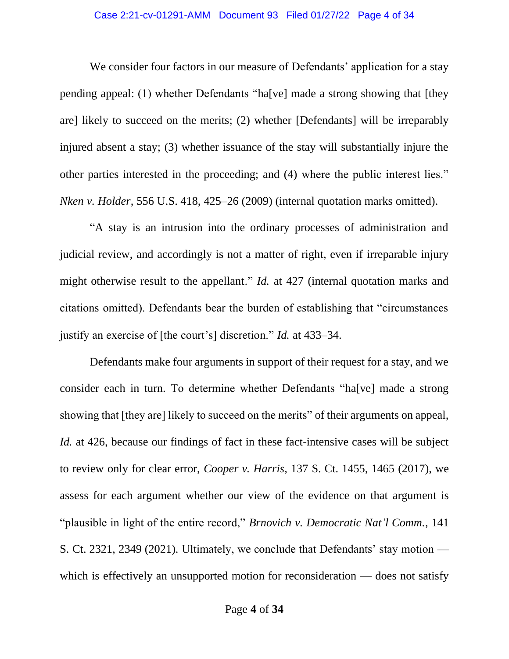### Case 2:21-cv-01291-AMM Document 93 Filed 01/27/22 Page 4 of 34

We consider four factors in our measure of Defendants' application for a stay pending appeal: (1) whether Defendants "ha[ve] made a strong showing that [they are] likely to succeed on the merits; (2) whether [Defendants] will be irreparably injured absent a stay; (3) whether issuance of the stay will substantially injure the other parties interested in the proceeding; and (4) where the public interest lies." *Nken v. Holder*, 556 U.S. 418, 425–26 (2009) (internal quotation marks omitted).

"A stay is an intrusion into the ordinary processes of administration and judicial review, and accordingly is not a matter of right, even if irreparable injury might otherwise result to the appellant." *Id.* at 427 (internal quotation marks and citations omitted). Defendants bear the burden of establishing that "circumstances justify an exercise of [the court's] discretion." *Id.* at 433–34.

Defendants make four arguments in support of their request for a stay, and we consider each in turn. To determine whether Defendants "ha[ve] made a strong showing that [they are] likely to succeed on the merits" of their arguments on appeal, *Id.* at 426, because our findings of fact in these fact-intensive cases will be subject to review only for clear error, *Cooper v. Harris*, 137 S. Ct. 1455, 1465 (2017), we assess for each argument whether our view of the evidence on that argument is "plausible in light of the entire record," *Brnovich v. Democratic Nat'l Comm.*, 141 S. Ct. 2321, 2349 (2021). Ultimately, we conclude that Defendants' stay motion which is effectively an unsupported motion for reconsideration — does not satisfy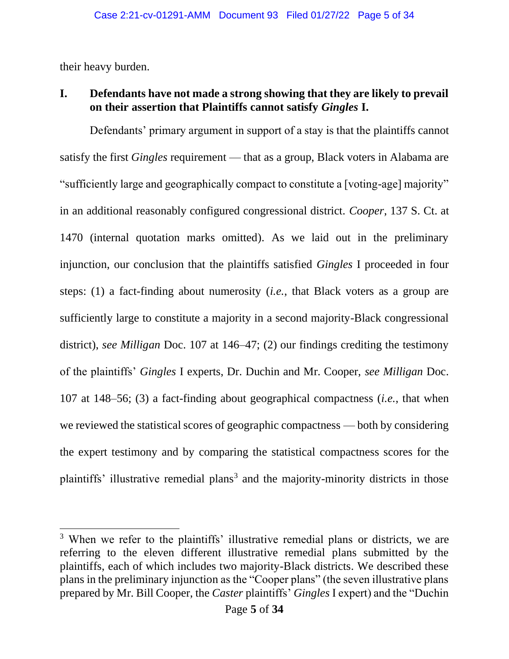their heavy burden.

# **I. Defendants have not made a strong showing that they are likely to prevail on their assertion that Plaintiffs cannot satisfy** *Gingles* **I.**

Defendants' primary argument in support of a stay is that the plaintiffs cannot satisfy the first *Gingles* requirement — that as a group, Black voters in Alabama are "sufficiently large and geographically compact to constitute a [voting-age] majority" in an additional reasonably configured congressional district. *Cooper*, 137 S. Ct. at 1470 (internal quotation marks omitted). As we laid out in the preliminary injunction, our conclusion that the plaintiffs satisfied *Gingles* I proceeded in four steps: (1) a fact-finding about numerosity (*i.e.*, that Black voters as a group are sufficiently large to constitute a majority in a second majority-Black congressional district), *see Milligan* Doc. 107 at 146–47; (2) our findings crediting the testimony of the plaintiffs' *Gingles* I experts, Dr. Duchin and Mr. Cooper, *see Milligan* Doc. 107 at 148–56; (3) a fact-finding about geographical compactness (*i.e.*, that when we reviewed the statistical scores of geographic compactness — both by considering the expert testimony and by comparing the statistical compactness scores for the plaintiffs' illustrative remedial plans<sup>3</sup> and the majority-minority districts in those

<sup>&</sup>lt;sup>3</sup> When we refer to the plaintiffs' illustrative remedial plans or districts, we are referring to the eleven different illustrative remedial plans submitted by the plaintiffs, each of which includes two majority-Black districts. We described these plans in the preliminary injunction as the "Cooper plans" (the seven illustrative plans prepared by Mr. Bill Cooper, the *Caster* plaintiffs' *Gingles* I expert) and the "Duchin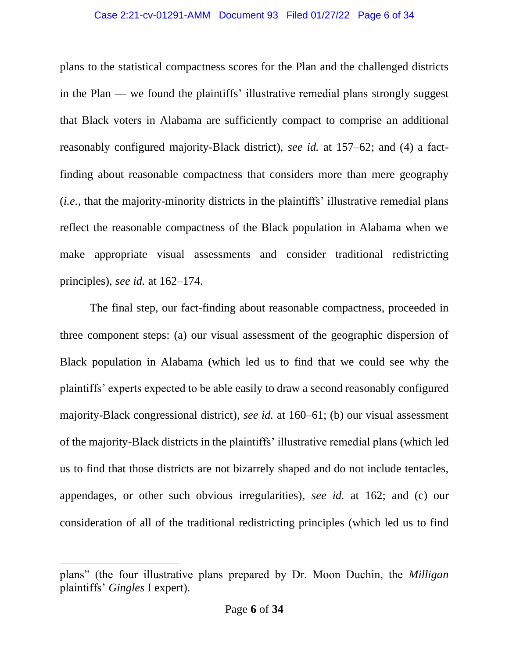#### Case 2:21-cv-01291-AMM Document 93 Filed 01/27/22 Page 6 of 34

plans to the statistical compactness scores for the Plan and the challenged districts in the Plan — we found the plaintiffs' illustrative remedial plans strongly suggest that Black voters in Alabama are sufficiently compact to comprise an additional reasonably configured majority-Black district), *see id.* at 157–62; and (4) a factfinding about reasonable compactness that considers more than mere geography (*i.e.*, that the majority-minority districts in the plaintiffs' illustrative remedial plans reflect the reasonable compactness of the Black population in Alabama when we make appropriate visual assessments and consider traditional redistricting principles), *see id.* at 162–174.

The final step, our fact-finding about reasonable compactness, proceeded in three component steps: (a) our visual assessment of the geographic dispersion of Black population in Alabama (which led us to find that we could see why the plaintiffs' experts expected to be able easily to draw a second reasonably configured majority-Black congressional district), *see id.* at 160–61; (b) our visual assessment of the majority-Black districts in the plaintiffs' illustrative remedial plans (which led us to find that those districts are not bizarrely shaped and do not include tentacles, appendages, or other such obvious irregularities), *see id.* at 162; and (c) our consideration of all of the traditional redistricting principles (which led us to find

plans" (the four illustrative plans prepared by Dr. Moon Duchin, the *Milligan*  plaintiffs' *Gingles* I expert).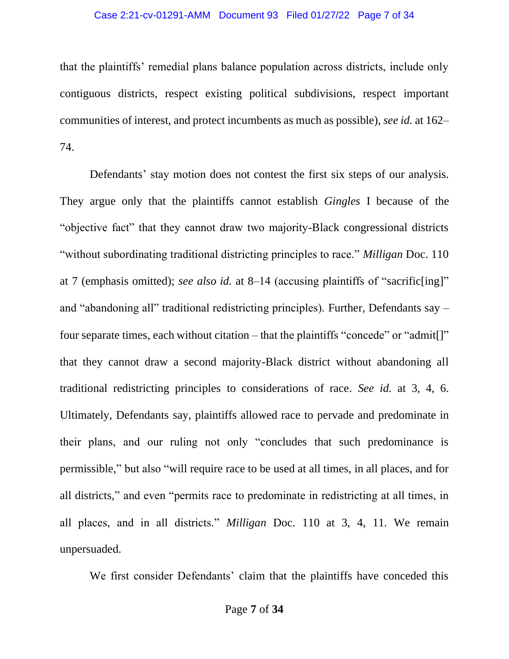### Case 2:21-cv-01291-AMM Document 93 Filed 01/27/22 Page 7 of 34

that the plaintiffs' remedial plans balance population across districts, include only contiguous districts, respect existing political subdivisions, respect important communities of interest, and protect incumbents as much as possible), *see id.* at 162– 74.

Defendants' stay motion does not contest the first six steps of our analysis. They argue only that the plaintiffs cannot establish *Gingles* I because of the "objective fact" that they cannot draw two majority-Black congressional districts "without subordinating traditional districting principles to race." *Milligan* Doc. 110 at 7 (emphasis omitted); *see also id.* at 8–14 (accusing plaintiffs of "sacrific[ing]" and "abandoning all" traditional redistricting principles). Further, Defendants say – four separate times, each without citation – that the plaintiffs "concede" or "admit[]" that they cannot draw a second majority-Black district without abandoning all traditional redistricting principles to considerations of race. *See id.* at 3, 4, 6. Ultimately, Defendants say, plaintiffs allowed race to pervade and predominate in their plans, and our ruling not only "concludes that such predominance is permissible," but also "will require race to be used at all times, in all places, and for all districts," and even "permits race to predominate in redistricting at all times, in all places, and in all districts." *Milligan* Doc. 110 at 3, 4, 11. We remain unpersuaded.

We first consider Defendants' claim that the plaintiffs have conceded this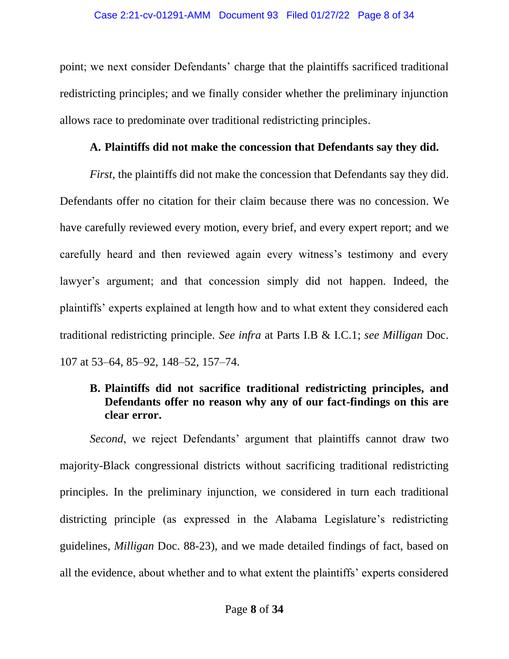point; we next consider Defendants' charge that the plaintiffs sacrificed traditional redistricting principles; and we finally consider whether the preliminary injunction allows race to predominate over traditional redistricting principles.

### **A. Plaintiffs did not make the concession that Defendants say they did.**

*First*, the plaintiffs did not make the concession that Defendants say they did. Defendants offer no citation for their claim because there was no concession. We have carefully reviewed every motion, every brief, and every expert report; and we carefully heard and then reviewed again every witness's testimony and every lawyer's argument; and that concession simply did not happen. Indeed, the plaintiffs' experts explained at length how and to what extent they considered each traditional redistricting principle. *See infra* at Parts I.B & I.C.1; *see Milligan* Doc. 107 at 53–64, 85–92, 148–52, 157–74.

# **B. Plaintiffs did not sacrifice traditional redistricting principles, and Defendants offer no reason why any of our fact-findings on this are clear error.**

*Second*, we reject Defendants' argument that plaintiffs cannot draw two majority-Black congressional districts without sacrificing traditional redistricting principles. In the preliminary injunction, we considered in turn each traditional districting principle (as expressed in the Alabama Legislature's redistricting guidelines, *Milligan* Doc. 88-23), and we made detailed findings of fact, based on all the evidence, about whether and to what extent the plaintiffs' experts considered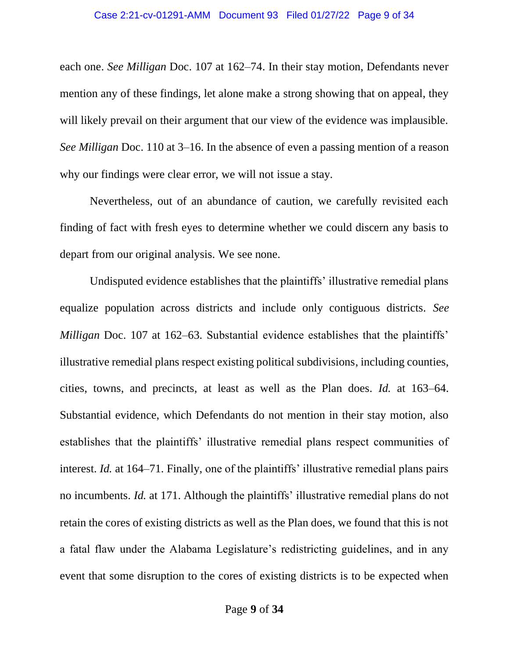each one. *See Milligan* Doc. 107 at 162–74. In their stay motion, Defendants never mention any of these findings, let alone make a strong showing that on appeal, they will likely prevail on their argument that our view of the evidence was implausible. *See Milligan* Doc. 110 at 3–16. In the absence of even a passing mention of a reason why our findings were clear error, we will not issue a stay.

Nevertheless, out of an abundance of caution, we carefully revisited each finding of fact with fresh eyes to determine whether we could discern any basis to depart from our original analysis. We see none.

Undisputed evidence establishes that the plaintiffs' illustrative remedial plans equalize population across districts and include only contiguous districts. *See Milligan* Doc. 107 at 162–63. Substantial evidence establishes that the plaintiffs' illustrative remedial plans respect existing political subdivisions, including counties, cities, towns, and precincts, at least as well as the Plan does. *Id.* at 163–64. Substantial evidence, which Defendants do not mention in their stay motion, also establishes that the plaintiffs' illustrative remedial plans respect communities of interest. *Id.* at 164–71. Finally, one of the plaintiffs' illustrative remedial plans pairs no incumbents. *Id.* at 171. Although the plaintiffs' illustrative remedial plans do not retain the cores of existing districts as well as the Plan does, we found that this is not a fatal flaw under the Alabama Legislature's redistricting guidelines, and in any event that some disruption to the cores of existing districts is to be expected when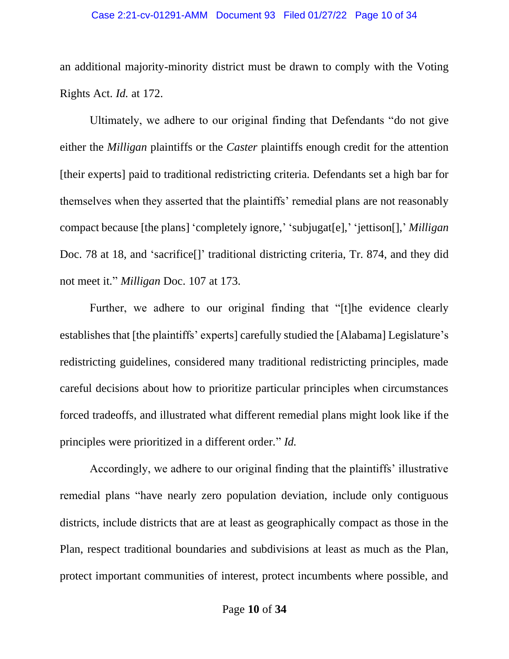#### Case 2:21-cv-01291-AMM Document 93 Filed 01/27/22 Page 10 of 34

an additional majority-minority district must be drawn to comply with the Voting Rights Act. *Id.* at 172.

Ultimately, we adhere to our original finding that Defendants "do not give either the *Milligan* plaintiffs or the *Caster* plaintiffs enough credit for the attention [their experts] paid to traditional redistricting criteria. Defendants set a high bar for themselves when they asserted that the plaintiffs' remedial plans are not reasonably compact because [the plans] 'completely ignore,' 'subjugat[e],' 'jettison[],' *Milligan*  Doc. 78 at 18, and 'sacrifice<sup>[]</sup>' traditional districting criteria, Tr. 874, and they did not meet it." *Milligan* Doc. 107 at 173.

Further, we adhere to our original finding that "[t]he evidence clearly establishes that [the plaintiffs' experts] carefully studied the [Alabama] Legislature's redistricting guidelines, considered many traditional redistricting principles, made careful decisions about how to prioritize particular principles when circumstances forced tradeoffs, and illustrated what different remedial plans might look like if the principles were prioritized in a different order." *Id.*

Accordingly, we adhere to our original finding that the plaintiffs' illustrative remedial plans "have nearly zero population deviation, include only contiguous districts, include districts that are at least as geographically compact as those in the Plan, respect traditional boundaries and subdivisions at least as much as the Plan, protect important communities of interest, protect incumbents where possible, and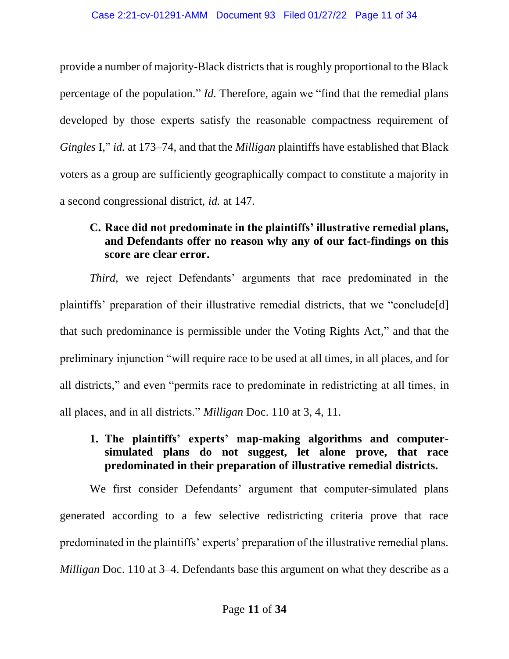provide a number of majority-Black districts that is roughly proportional to the Black percentage of the population." *Id.* Therefore, again we "find that the remedial plans developed by those experts satisfy the reasonable compactness requirement of *Gingles* I," *id.* at 173–74, and that the *Milligan* plaintiffs have established that Black voters as a group are sufficiently geographically compact to constitute a majority in a second congressional district, *id.* at 147.

# **C. Race did not predominate in the plaintiffs' illustrative remedial plans, and Defendants offer no reason why any of our fact-findings on this score are clear error.**

*Third,* we reject Defendants' arguments that race predominated in the plaintiffs' preparation of their illustrative remedial districts, that we "conclude[d] that such predominance is permissible under the Voting Rights Act," and that the preliminary injunction "will require race to be used at all times, in all places, and for all districts," and even "permits race to predominate in redistricting at all times, in all places, and in all districts." *Milligan* Doc. 110 at 3, 4, 11.

# **1. The plaintiffs' experts' map-making algorithms and computersimulated plans do not suggest, let alone prove, that race predominated in their preparation of illustrative remedial districts.**

We first consider Defendants' argument that computer-simulated plans generated according to a few selective redistricting criteria prove that race predominated in the plaintiffs' experts' preparation of the illustrative remedial plans. *Milligan* Doc. 110 at 3–4. Defendants base this argument on what they describe as a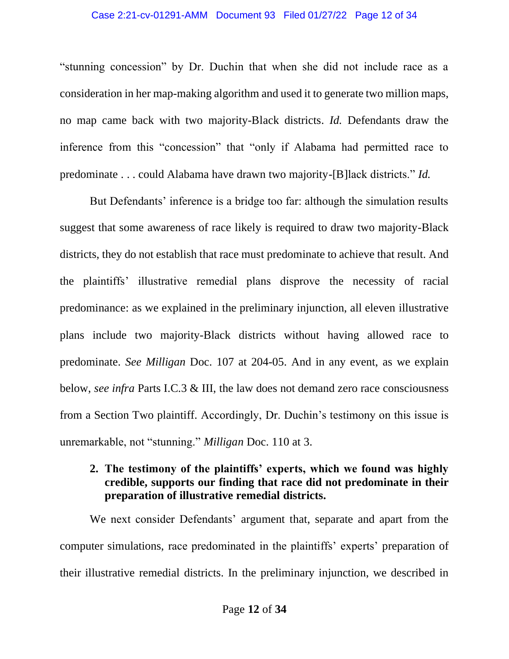#### Case 2:21-cv-01291-AMM Document 93 Filed 01/27/22 Page 12 of 34

"stunning concession" by Dr. Duchin that when she did not include race as a consideration in her map-making algorithm and used it to generate two million maps, no map came back with two majority-Black districts. *Id.* Defendants draw the inference from this "concession" that "only if Alabama had permitted race to predominate . . . could Alabama have drawn two majority-[B]lack districts." *Id.*

But Defendants' inference is a bridge too far: although the simulation results suggest that some awareness of race likely is required to draw two majority-Black districts, they do not establish that race must predominate to achieve that result. And the plaintiffs' illustrative remedial plans disprove the necessity of racial predominance: as we explained in the preliminary injunction, all eleven illustrative plans include two majority-Black districts without having allowed race to predominate. *See Milligan* Doc. 107 at 204-05. And in any event, as we explain below, *see infra* Parts I.C.3 & III, the law does not demand zero race consciousness from a Section Two plaintiff. Accordingly, Dr. Duchin's testimony on this issue is unremarkable, not "stunning." *Milligan* Doc. 110 at 3.

# **2. The testimony of the plaintiffs' experts, which we found was highly credible, supports our finding that race did not predominate in their preparation of illustrative remedial districts.**

We next consider Defendants' argument that, separate and apart from the computer simulations, race predominated in the plaintiffs' experts' preparation of their illustrative remedial districts. In the preliminary injunction, we described in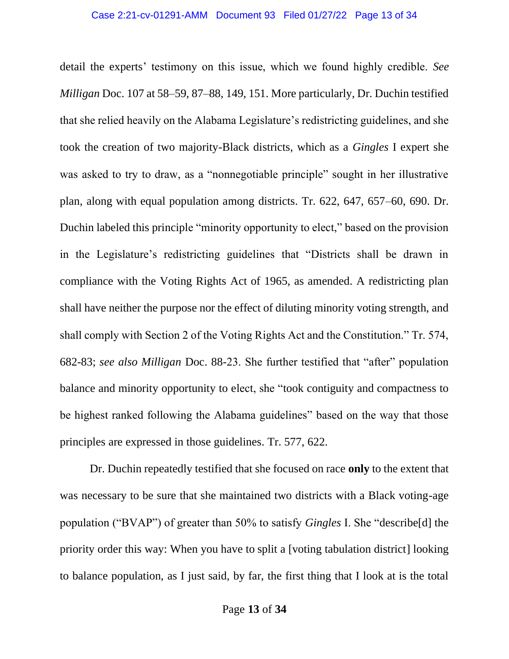detail the experts' testimony on this issue, which we found highly credible. *See Milligan* Doc. 107 at 58–59, 87–88, 149, 151. More particularly, Dr. Duchin testified that she relied heavily on the Alabama Legislature's redistricting guidelines, and she took the creation of two majority-Black districts, which as a *Gingles* I expert she was asked to try to draw, as a "nonnegotiable principle" sought in her illustrative plan, along with equal population among districts. Tr. 622, 647, 657–60, 690. Dr. Duchin labeled this principle "minority opportunity to elect," based on the provision in the Legislature's redistricting guidelines that "Districts shall be drawn in compliance with the Voting Rights Act of 1965, as amended. A redistricting plan shall have neither the purpose nor the effect of diluting minority voting strength, and shall comply with Section 2 of the Voting Rights Act and the Constitution." Tr. 574, 682-83; *see also Milligan* Doc. 88-23. She further testified that "after" population balance and minority opportunity to elect, she "took contiguity and compactness to be highest ranked following the Alabama guidelines" based on the way that those principles are expressed in those guidelines. Tr. 577, 622.

Dr. Duchin repeatedly testified that she focused on race **only** to the extent that was necessary to be sure that she maintained two districts with a Black voting-age population ("BVAP") of greater than 50% to satisfy *Gingles* I. She "describe[d] the priority order this way: When you have to split a [voting tabulation district] looking to balance population, as I just said, by far, the first thing that I look at is the total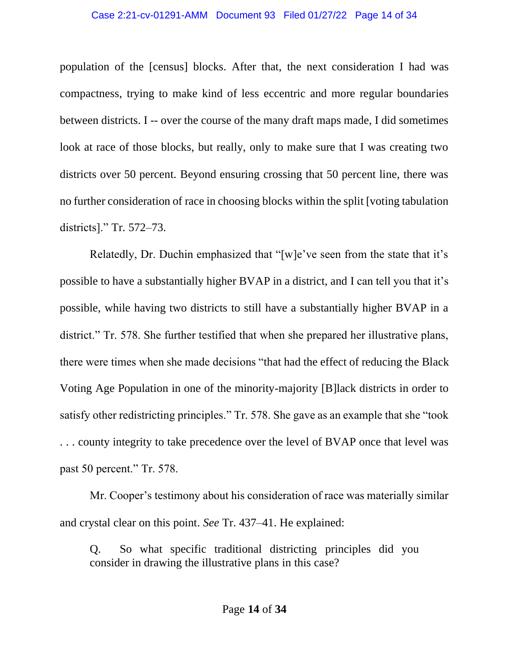#### Case 2:21-cv-01291-AMM Document 93 Filed 01/27/22 Page 14 of 34

population of the [census] blocks. After that, the next consideration I had was compactness, trying to make kind of less eccentric and more regular boundaries between districts. I -- over the course of the many draft maps made, I did sometimes look at race of those blocks, but really, only to make sure that I was creating two districts over 50 percent. Beyond ensuring crossing that 50 percent line, there was no further consideration of race in choosing blocks within the split [voting tabulation districts]." Tr. 572–73.

Relatedly, Dr. Duchin emphasized that "[w]e've seen from the state that it's possible to have a substantially higher BVAP in a district, and I can tell you that it's possible, while having two districts to still have a substantially higher BVAP in a district." Tr. 578. She further testified that when she prepared her illustrative plans, there were times when she made decisions "that had the effect of reducing the Black Voting Age Population in one of the minority-majority [B]lack districts in order to satisfy other redistricting principles." Tr. 578. She gave as an example that she "took . . . county integrity to take precedence over the level of BVAP once that level was past 50 percent." Tr. 578.

Mr. Cooper's testimony about his consideration of race was materially similar and crystal clear on this point. *See* Tr. 437–41. He explained:

Q. So what specific traditional districting principles did you consider in drawing the illustrative plans in this case?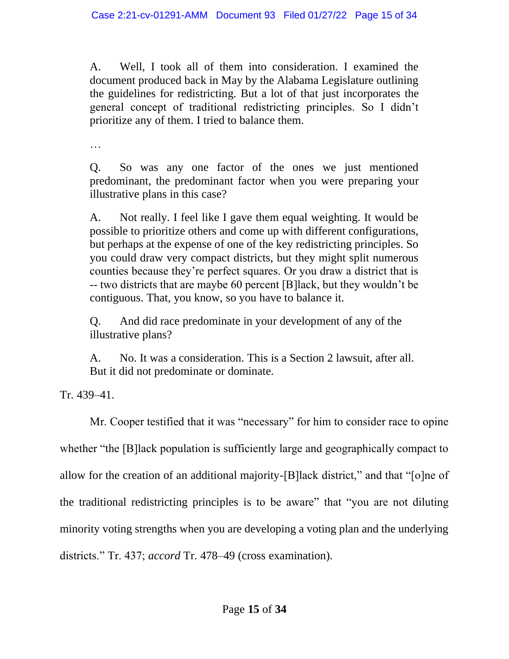A. Well, I took all of them into consideration. I examined the document produced back in May by the Alabama Legislature outlining the guidelines for redistricting. But a lot of that just incorporates the general concept of traditional redistricting principles. So I didn't prioritize any of them. I tried to balance them.

…

Q. So was any one factor of the ones we just mentioned predominant, the predominant factor when you were preparing your illustrative plans in this case?

A. Not really. I feel like I gave them equal weighting. It would be possible to prioritize others and come up with different configurations, but perhaps at the expense of one of the key redistricting principles. So you could draw very compact districts, but they might split numerous counties because they're perfect squares. Or you draw a district that is -- two districts that are maybe 60 percent [B]lack, but they wouldn't be contiguous. That, you know, so you have to balance it.

Q. And did race predominate in your development of any of the illustrative plans?

A. No. It was a consideration. This is a Section 2 lawsuit, after all. But it did not predominate or dominate.

Tr. 439–41.

Mr. Cooper testified that it was "necessary" for him to consider race to opine whether "the [B]lack population is sufficiently large and geographically compact to allow for the creation of an additional majority-[B]lack district," and that "[o]ne of the traditional redistricting principles is to be aware" that "you are not diluting minority voting strengths when you are developing a voting plan and the underlying districts." Tr. 437; *accord* Tr. 478–49 (cross examination).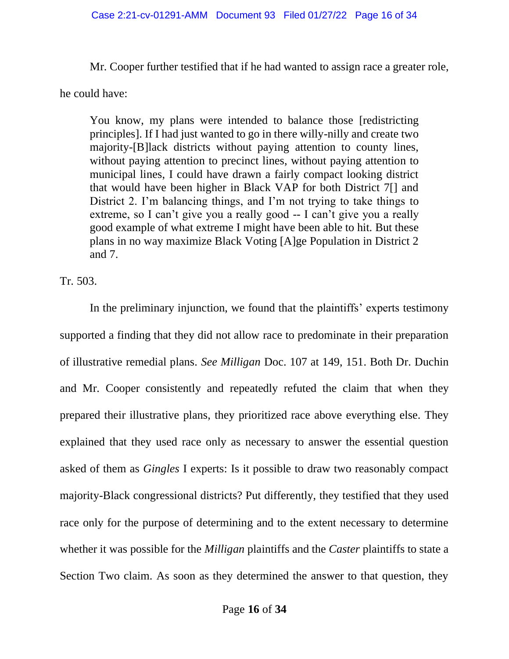Mr. Cooper further testified that if he had wanted to assign race a greater role,

he could have:

You know, my plans were intended to balance those [redistricting principles]. If I had just wanted to go in there willy-nilly and create two majority-[B]lack districts without paying attention to county lines, without paying attention to precinct lines, without paying attention to municipal lines, I could have drawn a fairly compact looking district that would have been higher in Black VAP for both District 7[] and District 2. I'm balancing things, and I'm not trying to take things to extreme, so I can't give you a really good -- I can't give you a really good example of what extreme I might have been able to hit. But these plans in no way maximize Black Voting [A]ge Population in District 2 and 7.

Tr. 503.

In the preliminary injunction, we found that the plaintiffs' experts testimony supported a finding that they did not allow race to predominate in their preparation of illustrative remedial plans. *See Milligan* Doc. 107 at 149, 151. Both Dr. Duchin and Mr. Cooper consistently and repeatedly refuted the claim that when they prepared their illustrative plans, they prioritized race above everything else. They explained that they used race only as necessary to answer the essential question asked of them as *Gingles* I experts: Is it possible to draw two reasonably compact majority-Black congressional districts? Put differently, they testified that they used race only for the purpose of determining and to the extent necessary to determine whether it was possible for the *Milligan* plaintiffs and the *Caster* plaintiffs to state a Section Two claim. As soon as they determined the answer to that question, they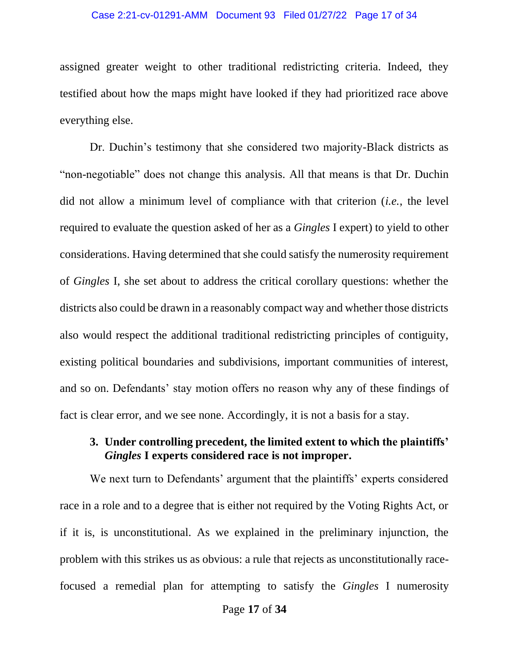#### Case 2:21-cv-01291-AMM Document 93 Filed 01/27/22 Page 17 of 34

assigned greater weight to other traditional redistricting criteria. Indeed, they testified about how the maps might have looked if they had prioritized race above everything else.

Dr. Duchin's testimony that she considered two majority-Black districts as "non-negotiable" does not change this analysis. All that means is that Dr. Duchin did not allow a minimum level of compliance with that criterion (*i.e.*, the level required to evaluate the question asked of her as a *Gingles* I expert) to yield to other considerations. Having determined that she could satisfy the numerosity requirement of *Gingles* I, she set about to address the critical corollary questions: whether the districts also could be drawn in a reasonably compact way and whether those districts also would respect the additional traditional redistricting principles of contiguity, existing political boundaries and subdivisions, important communities of interest, and so on. Defendants' stay motion offers no reason why any of these findings of fact is clear error, and we see none. Accordingly, it is not a basis for a stay.

### **3. Under controlling precedent, the limited extent to which the plaintiffs'**  *Gingles* **I experts considered race is not improper.**

We next turn to Defendants' argument that the plaintiffs' experts considered race in a role and to a degree that is either not required by the Voting Rights Act, or if it is, is unconstitutional. As we explained in the preliminary injunction, the problem with this strikes us as obvious: a rule that rejects as unconstitutionally racefocused a remedial plan for attempting to satisfy the *Gingles* I numerosity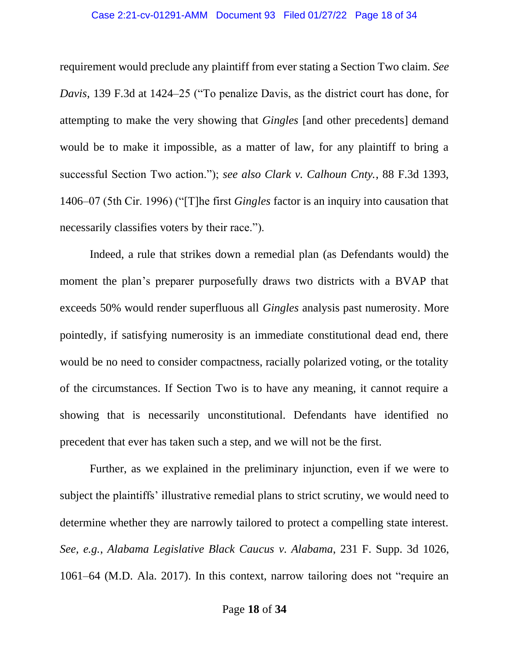#### Case 2:21-cv-01291-AMM Document 93 Filed 01/27/22 Page 18 of 34

requirement would preclude any plaintiff from ever stating a Section Two claim. *See Davis*, 139 F.3d at 1424–25 ("To penalize Davis, as the district court has done, for attempting to make the very showing that *Gingles* [and other precedents] demand would be to make it impossible, as a matter of law, for any plaintiff to bring a successful Section Two action."); *see also Clark v. Calhoun Cnty.*, 88 F.3d 1393, 1406–07 (5th Cir. 1996) ("[T]he first *Gingles* factor is an inquiry into causation that necessarily classifies voters by their race.").

Indeed, a rule that strikes down a remedial plan (as Defendants would) the moment the plan's preparer purposefully draws two districts with a BVAP that exceeds 50% would render superfluous all *Gingles* analysis past numerosity. More pointedly, if satisfying numerosity is an immediate constitutional dead end, there would be no need to consider compactness, racially polarized voting, or the totality of the circumstances. If Section Two is to have any meaning, it cannot require a showing that is necessarily unconstitutional. Defendants have identified no precedent that ever has taken such a step, and we will not be the first.

Further, as we explained in the preliminary injunction, even if we were to subject the plaintiffs' illustrative remedial plans to strict scrutiny, we would need to determine whether they are narrowly tailored to protect a compelling state interest. *See, e.g.*, *Alabama Legislative Black Caucus v. Alabama*, 231 F. Supp. 3d 1026, 1061–64 (M.D. Ala. 2017). In this context, narrow tailoring does not "require an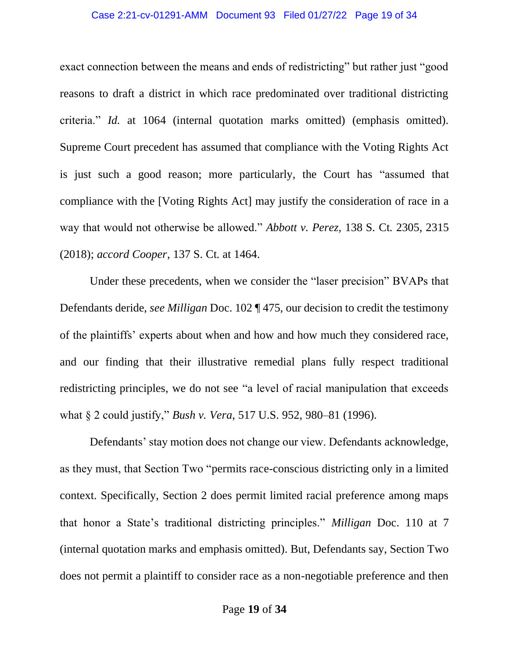#### Case 2:21-cv-01291-AMM Document 93 Filed 01/27/22 Page 19 of 34

exact connection between the means and ends of redistricting" but rather just "good reasons to draft a district in which race predominated over traditional districting criteria." *Id.* at 1064 (internal quotation marks omitted) (emphasis omitted). Supreme Court precedent has assumed that compliance with the Voting Rights Act is just such a good reason; more particularly, the Court has "assumed that compliance with the [Voting Rights Act] may justify the consideration of race in a way that would not otherwise be allowed." *Abbott v. Perez*, 138 S. Ct. 2305, 2315 (2018); *accord Cooper*, 137 S. Ct. at 1464.

Under these precedents, when we consider the "laser precision" BVAPs that Defendants deride, *see Milligan* Doc. 102 ¶ 475, our decision to credit the testimony of the plaintiffs' experts about when and how and how much they considered race, and our finding that their illustrative remedial plans fully respect traditional redistricting principles, we do not see "a level of racial manipulation that exceeds what § 2 could justify," *Bush v. Vera*, 517 U.S. 952, 980–81 (1996).

Defendants' stay motion does not change our view. Defendants acknowledge, as they must, that Section Two "permits race-conscious districting only in a limited context. Specifically, Section 2 does permit limited racial preference among maps that honor a State's traditional districting principles." *Milligan* Doc. 110 at 7 (internal quotation marks and emphasis omitted). But, Defendants say, Section Two does not permit a plaintiff to consider race as a non-negotiable preference and then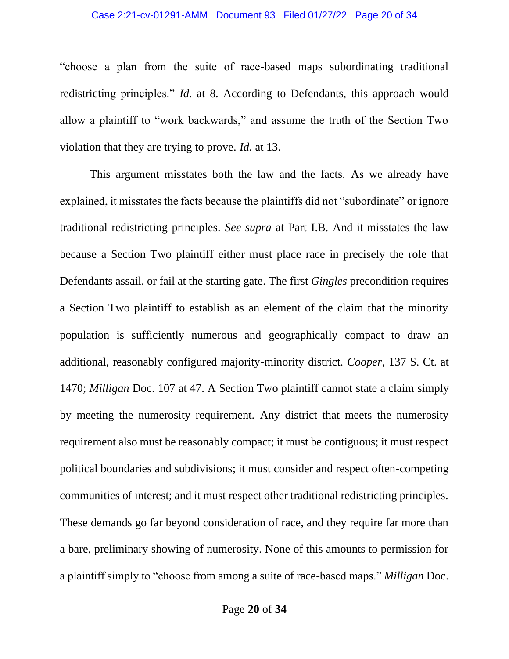#### Case 2:21-cv-01291-AMM Document 93 Filed 01/27/22 Page 20 of 34

"choose a plan from the suite of race-based maps subordinating traditional redistricting principles." *Id.* at 8. According to Defendants, this approach would allow a plaintiff to "work backwards," and assume the truth of the Section Two violation that they are trying to prove. *Id.* at 13.

This argument misstates both the law and the facts. As we already have explained, it misstates the facts because the plaintiffs did not "subordinate" or ignore traditional redistricting principles. *See supra* at Part I.B. And it misstates the law because a Section Two plaintiff either must place race in precisely the role that Defendants assail, or fail at the starting gate. The first *Gingles* precondition requires a Section Two plaintiff to establish as an element of the claim that the minority population is sufficiently numerous and geographically compact to draw an additional, reasonably configured majority-minority district. *Cooper*, 137 S. Ct. at 1470; *Milligan* Doc. 107 at 47. A Section Two plaintiff cannot state a claim simply by meeting the numerosity requirement. Any district that meets the numerosity requirement also must be reasonably compact; it must be contiguous; it must respect political boundaries and subdivisions; it must consider and respect often-competing communities of interest; and it must respect other traditional redistricting principles. These demands go far beyond consideration of race, and they require far more than a bare, preliminary showing of numerosity. None of this amounts to permission for a plaintiff simply to "choose from among a suite of race-based maps." *Milligan* Doc.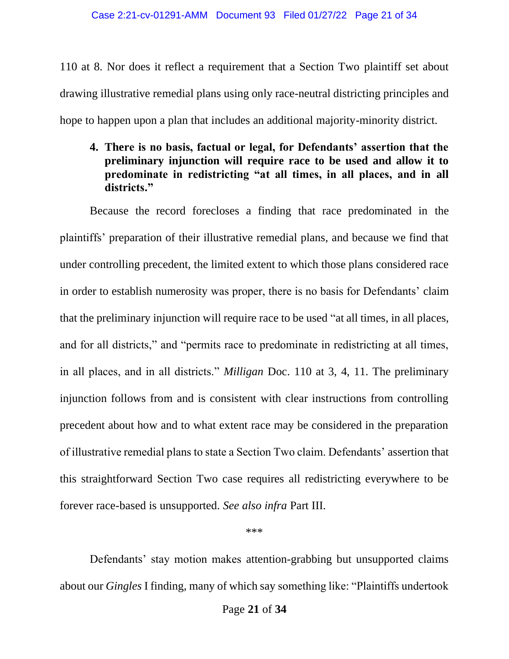110 at 8. Nor does it reflect a requirement that a Section Two plaintiff set about drawing illustrative remedial plans using only race-neutral districting principles and hope to happen upon a plan that includes an additional majority-minority district.

# **4. There is no basis, factual or legal, for Defendants' assertion that the preliminary injunction will require race to be used and allow it to predominate in redistricting "at all times, in all places, and in all districts."**

Because the record forecloses a finding that race predominated in the plaintiffs' preparation of their illustrative remedial plans, and because we find that under controlling precedent, the limited extent to which those plans considered race in order to establish numerosity was proper, there is no basis for Defendants' claim that the preliminary injunction will require race to be used "at all times, in all places, and for all districts," and "permits race to predominate in redistricting at all times, in all places, and in all districts." *Milligan* Doc. 110 at 3, 4, 11. The preliminary injunction follows from and is consistent with clear instructions from controlling precedent about how and to what extent race may be considered in the preparation of illustrative remedial plans to state a Section Two claim. Defendants' assertion that this straightforward Section Two case requires all redistricting everywhere to be forever race-based is unsupported. *See also infra* Part III.

\*\*\*

Defendants' stay motion makes attention-grabbing but unsupported claims about our *Gingles* I finding, many of which say something like: "Plaintiffs undertook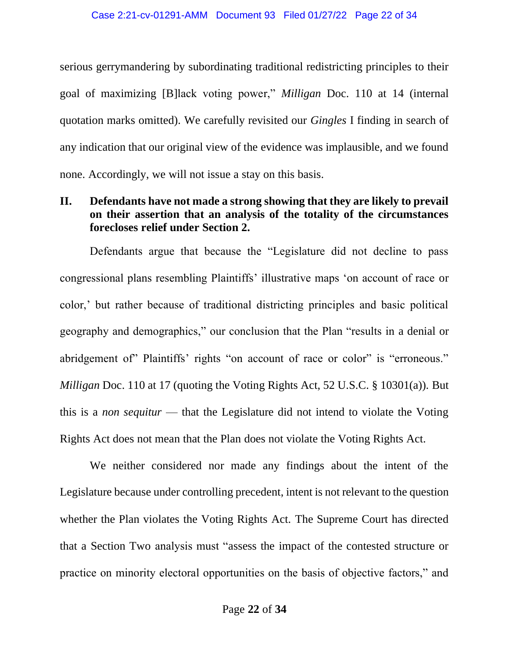serious gerrymandering by subordinating traditional redistricting principles to their goal of maximizing [B]lack voting power," *Milligan* Doc. 110 at 14 (internal quotation marks omitted). We carefully revisited our *Gingles* I finding in search of any indication that our original view of the evidence was implausible, and we found none. Accordingly, we will not issue a stay on this basis.

# **II. Defendants have not made a strong showing that they are likely to prevail on their assertion that an analysis of the totality of the circumstances forecloses relief under Section 2.**

Defendants argue that because the "Legislature did not decline to pass congressional plans resembling Plaintiffs' illustrative maps 'on account of race or color,' but rather because of traditional districting principles and basic political geography and demographics," our conclusion that the Plan "results in a denial or abridgement of Plaintiffs' rights "on account of race or color" is "erroneous." *Milligan* Doc. 110 at 17 (quoting the Voting Rights Act, 52 U.S.C. § 10301(a)). But this is a *non sequitur* — that the Legislature did not intend to violate the Voting Rights Act does not mean that the Plan does not violate the Voting Rights Act.

We neither considered nor made any findings about the intent of the Legislature because under controlling precedent, intent is not relevant to the question whether the Plan violates the Voting Rights Act. The Supreme Court has directed that a Section Two analysis must "assess the impact of the contested structure or practice on minority electoral opportunities on the basis of objective factors," and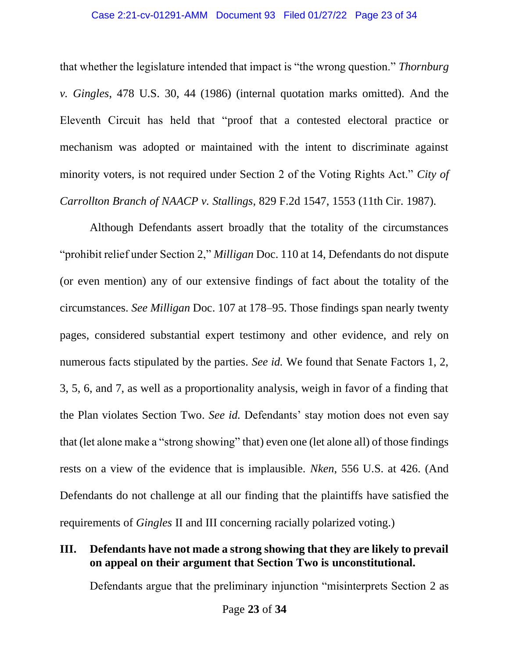that whether the legislature intended that impact is "the wrong question." *Thornburg v. Gingles*, 478 U.S. 30, 44 (1986) (internal quotation marks omitted). And the Eleventh Circuit has held that "proof that a contested electoral practice or mechanism was adopted or maintained with the intent to discriminate against minority voters, is not required under Section 2 of the Voting Rights Act." *City of Carrollton Branch of NAACP v. Stallings*, 829 F.2d 1547, 1553 (11th Cir. 1987).

Although Defendants assert broadly that the totality of the circumstances "prohibit relief under Section 2," *Milligan* Doc. 110 at 14, Defendants do not dispute (or even mention) any of our extensive findings of fact about the totality of the circumstances. *See Milligan* Doc. 107 at 178–95. Those findings span nearly twenty pages, considered substantial expert testimony and other evidence, and rely on numerous facts stipulated by the parties. *See id.* We found that Senate Factors 1, 2, 3, 5, 6, and 7, as well as a proportionality analysis, weigh in favor of a finding that the Plan violates Section Two. *See id.* Defendants' stay motion does not even say that (let alone make a "strong showing" that) even one (let alone all) of those findings rests on a view of the evidence that is implausible. *Nken*, 556 U.S. at 426. (And Defendants do not challenge at all our finding that the plaintiffs have satisfied the requirements of *Gingles* II and III concerning racially polarized voting.)

## **III. Defendants have not made a strong showing that they are likely to prevail on appeal on their argument that Section Two is unconstitutional.**

Defendants argue that the preliminary injunction "misinterprets Section 2 as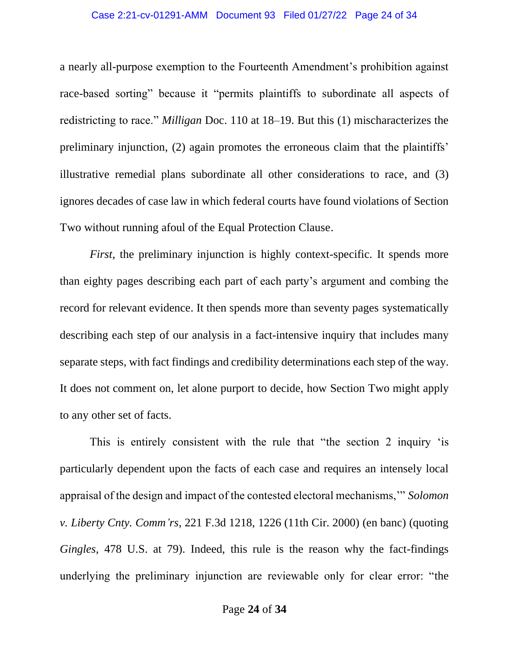#### Case 2:21-cv-01291-AMM Document 93 Filed 01/27/22 Page 24 of 34

a nearly all-purpose exemption to the Fourteenth Amendment's prohibition against race-based sorting" because it "permits plaintiffs to subordinate all aspects of redistricting to race." *Milligan* Doc. 110 at 18–19. But this (1) mischaracterizes the preliminary injunction, (2) again promotes the erroneous claim that the plaintiffs' illustrative remedial plans subordinate all other considerations to race, and (3) ignores decades of case law in which federal courts have found violations of Section Two without running afoul of the Equal Protection Clause.

*First*, the preliminary injunction is highly context-specific. It spends more than eighty pages describing each part of each party's argument and combing the record for relevant evidence. It then spends more than seventy pages systematically describing each step of our analysis in a fact-intensive inquiry that includes many separate steps, with fact findings and credibility determinations each step of the way. It does not comment on, let alone purport to decide, how Section Two might apply to any other set of facts.

This is entirely consistent with the rule that "the section 2 inquiry 'is particularly dependent upon the facts of each case and requires an intensely local appraisal of the design and impact of the contested electoral mechanisms,'" *Solomon v. Liberty Cnty. Comm'rs*, 221 F.3d 1218, 1226 (11th Cir. 2000) (en banc) (quoting *Gingles*, 478 U.S. at 79). Indeed, this rule is the reason why the fact-findings underlying the preliminary injunction are reviewable only for clear error: "the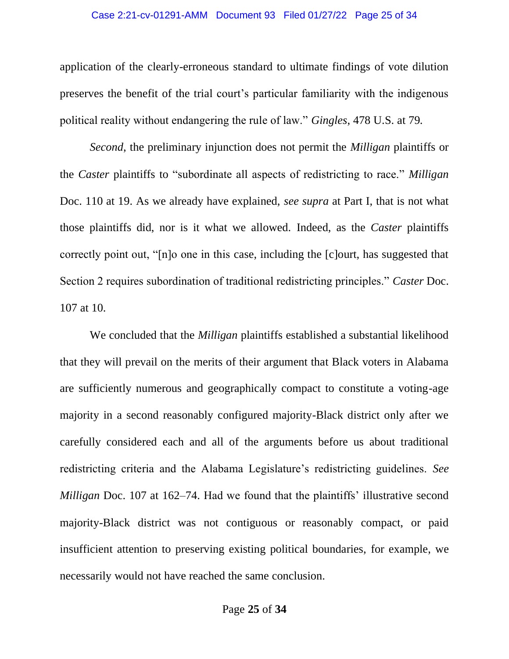#### Case 2:21-cv-01291-AMM Document 93 Filed 01/27/22 Page 25 of 34

application of the clearly-erroneous standard to ultimate findings of vote dilution preserves the benefit of the trial court's particular familiarity with the indigenous political reality without endangering the rule of law." *Gingles*, 478 U.S. at 79.

*Second*, the preliminary injunction does not permit the *Milligan* plaintiffs or the *Caster* plaintiffs to "subordinate all aspects of redistricting to race." *Milligan*  Doc. 110 at 19. As we already have explained, *see supra* at Part I, that is not what those plaintiffs did, nor is it what we allowed. Indeed, as the *Caster* plaintiffs correctly point out, "[n]o one in this case, including the [c]ourt, has suggested that Section 2 requires subordination of traditional redistricting principles." *Caster* Doc. 107 at 10.

We concluded that the *Milligan* plaintiffs established a substantial likelihood that they will prevail on the merits of their argument that Black voters in Alabama are sufficiently numerous and geographically compact to constitute a voting-age majority in a second reasonably configured majority-Black district only after we carefully considered each and all of the arguments before us about traditional redistricting criteria and the Alabama Legislature's redistricting guidelines. *See Milligan* Doc. 107 at 162–74. Had we found that the plaintiffs' illustrative second majority-Black district was not contiguous or reasonably compact, or paid insufficient attention to preserving existing political boundaries, for example, we necessarily would not have reached the same conclusion.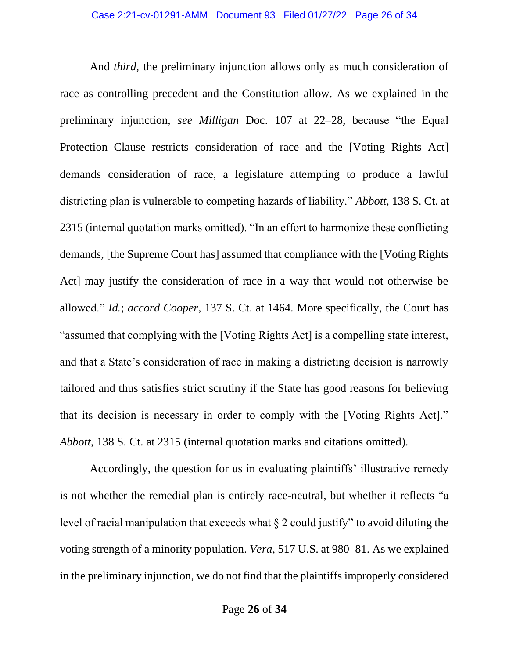And *third,* the preliminary injunction allows only as much consideration of race as controlling precedent and the Constitution allow. As we explained in the preliminary injunction, *see Milligan* Doc. 107 at 22–28, because "the Equal Protection Clause restricts consideration of race and the [Voting Rights Act] demands consideration of race, a legislature attempting to produce a lawful districting plan is vulnerable to competing hazards of liability." *Abbott*, 138 S. Ct. at 2315 (internal quotation marks omitted). "In an effort to harmonize these conflicting demands, [the Supreme Court has] assumed that compliance with the [Voting Rights Act] may justify the consideration of race in a way that would not otherwise be allowed." *Id.*; *accord Cooper*, 137 S. Ct. at 1464. More specifically, the Court has "assumed that complying with the [Voting Rights Act] is a compelling state interest, and that a State's consideration of race in making a districting decision is narrowly tailored and thus satisfies strict scrutiny if the State has good reasons for believing that its decision is necessary in order to comply with the [Voting Rights Act]." *Abbott*, 138 S. Ct. at 2315 (internal quotation marks and citations omitted).

Accordingly, the question for us in evaluating plaintiffs' illustrative remedy is not whether the remedial plan is entirely race-neutral, but whether it reflects "a level of racial manipulation that exceeds what § 2 could justify" to avoid diluting the voting strength of a minority population. *Vera*, 517 U.S. at 980–81. As we explained in the preliminary injunction, we do not find that the plaintiffs improperly considered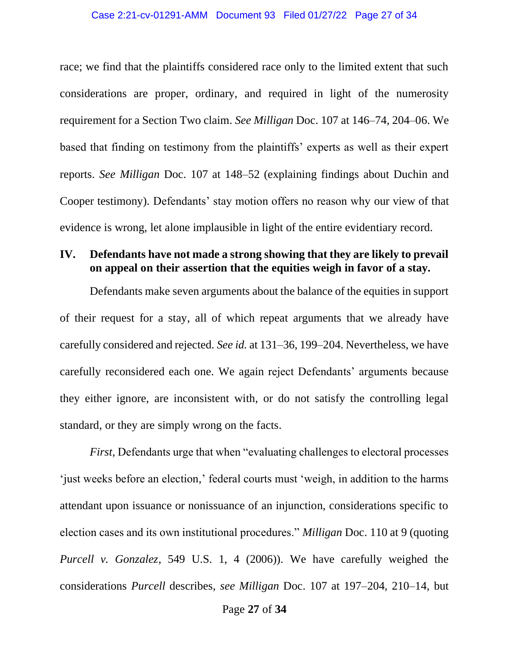race; we find that the plaintiffs considered race only to the limited extent that such considerations are proper, ordinary, and required in light of the numerosity requirement for a Section Two claim. *See Milligan* Doc. 107 at 146–74, 204–06. We based that finding on testimony from the plaintiffs' experts as well as their expert reports. *See Milligan* Doc. 107 at 148–52 (explaining findings about Duchin and Cooper testimony). Defendants' stay motion offers no reason why our view of that evidence is wrong, let alone implausible in light of the entire evidentiary record.

### **IV. Defendants have not made a strong showing that they are likely to prevail on appeal on their assertion that the equities weigh in favor of a stay.**

Defendants make seven arguments about the balance of the equities in support of their request for a stay, all of which repeat arguments that we already have carefully considered and rejected. *See id.* at 131–36, 199–204. Nevertheless, we have carefully reconsidered each one. We again reject Defendants' arguments because they either ignore, are inconsistent with, or do not satisfy the controlling legal standard, or they are simply wrong on the facts.

*First*, Defendants urge that when "evaluating challenges to electoral processes 'just weeks before an election,' federal courts must 'weigh, in addition to the harms attendant upon issuance or nonissuance of an injunction, considerations specific to election cases and its own institutional procedures." *Milligan* Doc. 110 at 9 (quoting *Purcell v. Gonzalez*, 549 U.S. 1, 4 (2006)). We have carefully weighed the considerations *Purcell* describes, *see Milligan* Doc. 107 at 197–204, 210–14, but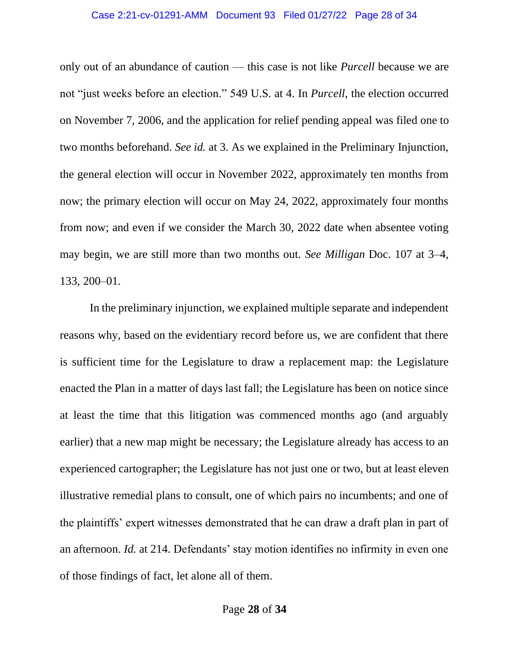#### Case 2:21-cv-01291-AMM Document 93 Filed 01/27/22 Page 28 of 34

only out of an abundance of caution — this case is not like *Purcell* because we are not "just weeks before an election." 549 U.S. at 4. In *Purcell*, the election occurred on November 7, 2006, and the application for relief pending appeal was filed one to two months beforehand. *See id.* at 3. As we explained in the Preliminary Injunction, the general election will occur in November 2022, approximately ten months from now; the primary election will occur on May 24, 2022, approximately four months from now; and even if we consider the March 30, 2022 date when absentee voting may begin, we are still more than two months out. *See Milligan* Doc. 107 at 3–4, 133, 200–01.

In the preliminary injunction, we explained multiple separate and independent reasons why, based on the evidentiary record before us, we are confident that there is sufficient time for the Legislature to draw a replacement map: the Legislature enacted the Plan in a matter of days last fall; the Legislature has been on notice since at least the time that this litigation was commenced months ago (and arguably earlier) that a new map might be necessary; the Legislature already has access to an experienced cartographer; the Legislature has not just one or two, but at least eleven illustrative remedial plans to consult, one of which pairs no incumbents; and one of the plaintiffs' expert witnesses demonstrated that he can draw a draft plan in part of an afternoon. *Id.* at 214. Defendants' stay motion identifies no infirmity in even one of those findings of fact, let alone all of them.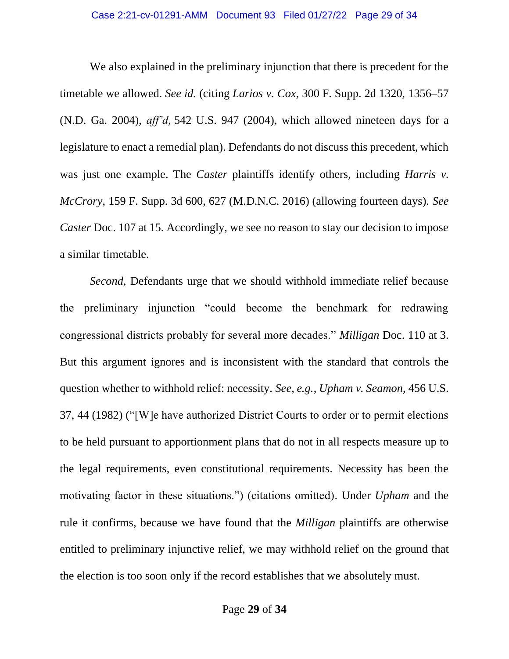We also explained in the preliminary injunction that there is precedent for the timetable we allowed. *See id.* (citing *Larios v. Cox*, 300 F. Supp. 2d 1320, 1356–57 (N.D. Ga. 2004), *aff'd*, 542 U.S. 947 (2004), which allowed nineteen days for a legislature to enact a remedial plan). Defendants do not discuss this precedent, which was just one example. The *Caster* plaintiffs identify others, including *Harris v*. *McCrory*, 159 F. Supp. 3d 600, 627 (M.D.N.C. 2016) (allowing fourteen days). *See Caster Doc.* 107 at 15. Accordingly, we see no reason to stay our decision to impose a similar timetable.

*Second,* Defendants urge that we should withhold immediate relief because the preliminary injunction "could become the benchmark for redrawing congressional districts probably for several more decades." *Milligan* Doc. 110 at 3. But this argument ignores and is inconsistent with the standard that controls the question whether to withhold relief: necessity. *See, e.g.*, *Upham v. Seamon*, 456 U.S. 37, 44 (1982) ("[W]e have authorized District Courts to order or to permit elections to be held pursuant to apportionment plans that do not in all respects measure up to the legal requirements, even constitutional requirements. Necessity has been the motivating factor in these situations.") (citations omitted). Under *Upham* and the rule it confirms, because we have found that the *Milligan* plaintiffs are otherwise entitled to preliminary injunctive relief, we may withhold relief on the ground that the election is too soon only if the record establishes that we absolutely must.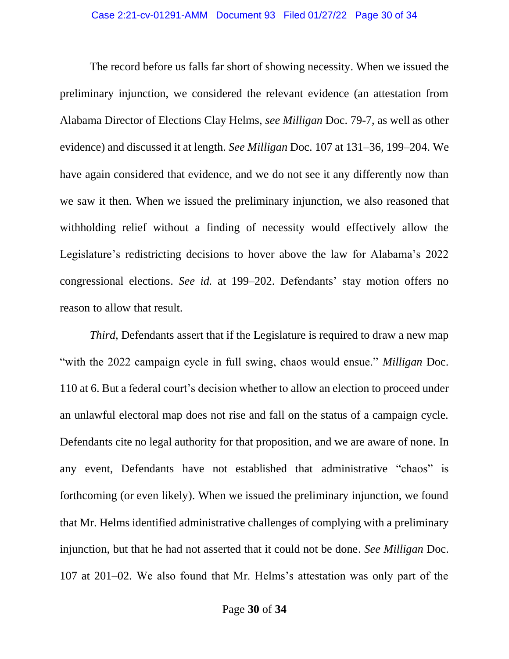The record before us falls far short of showing necessity. When we issued the preliminary injunction, we considered the relevant evidence (an attestation from Alabama Director of Elections Clay Helms, *see Milligan* Doc. 79-7, as well as other evidence) and discussed it at length. *See Milligan* Doc. 107 at 131–36, 199–204. We have again considered that evidence, and we do not see it any differently now than we saw it then. When we issued the preliminary injunction, we also reasoned that withholding relief without a finding of necessity would effectively allow the Legislature's redistricting decisions to hover above the law for Alabama's 2022 congressional elections. *See id.* at 199–202. Defendants' stay motion offers no reason to allow that result.

*Third*, Defendants assert that if the Legislature is required to draw a new map "with the 2022 campaign cycle in full swing, chaos would ensue." *Milligan* Doc. 110 at 6. But a federal court's decision whether to allow an election to proceed under an unlawful electoral map does not rise and fall on the status of a campaign cycle. Defendants cite no legal authority for that proposition, and we are aware of none. In any event, Defendants have not established that administrative "chaos" is forthcoming (or even likely). When we issued the preliminary injunction, we found that Mr. Helms identified administrative challenges of complying with a preliminary injunction, but that he had not asserted that it could not be done. *See Milligan* Doc. 107 at 201–02. We also found that Mr. Helms's attestation was only part of the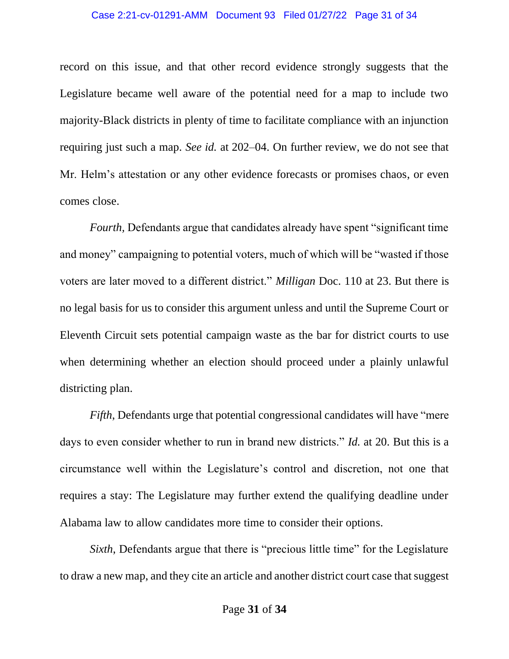#### Case 2:21-cv-01291-AMM Document 93 Filed 01/27/22 Page 31 of 34

record on this issue, and that other record evidence strongly suggests that the Legislature became well aware of the potential need for a map to include two majority-Black districts in plenty of time to facilitate compliance with an injunction requiring just such a map. *See id.* at 202–04. On further review, we do not see that Mr. Helm's attestation or any other evidence forecasts or promises chaos, or even comes close.

*Fourth,* Defendants argue that candidates already have spent "significant time and money" campaigning to potential voters, much of which will be "wasted if those voters are later moved to a different district." *Milligan* Doc. 110 at 23. But there is no legal basis for us to consider this argument unless and until the Supreme Court or Eleventh Circuit sets potential campaign waste as the bar for district courts to use when determining whether an election should proceed under a plainly unlawful districting plan.

*Fifth*, Defendants urge that potential congressional candidates will have "mere days to even consider whether to run in brand new districts." *Id.* at 20. But this is a circumstance well within the Legislature's control and discretion, not one that requires a stay: The Legislature may further extend the qualifying deadline under Alabama law to allow candidates more time to consider their options.

*Sixth*, Defendants argue that there is "precious little time" for the Legislature to draw a new map, and they cite an article and another district court case that suggest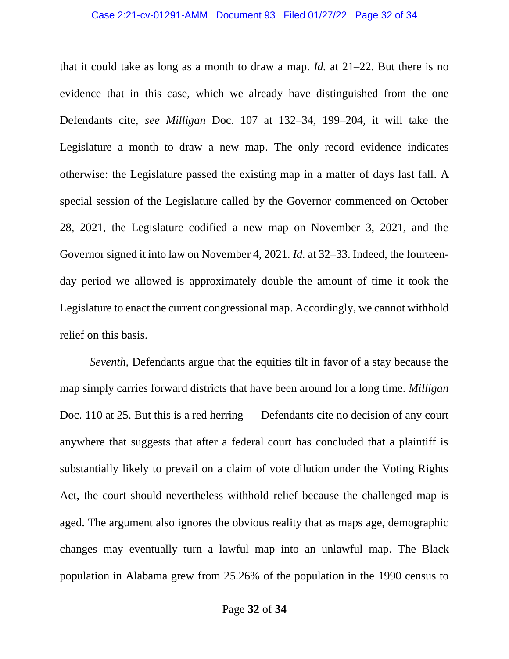that it could take as long as a month to draw a map. *Id.* at 21–22. But there is no evidence that in this case, which we already have distinguished from the one Defendants cite, *see Milligan* Doc. 107 at 132–34, 199–204, it will take the Legislature a month to draw a new map. The only record evidence indicates otherwise: the Legislature passed the existing map in a matter of days last fall. A special session of the Legislature called by the Governor commenced on October 28, 2021, the Legislature codified a new map on November 3, 2021, and the Governor signed it into law on November 4, 2021. *Id.* at 32–33. Indeed, the fourteenday period we allowed is approximately double the amount of time it took the Legislature to enact the current congressional map. Accordingly, we cannot withhold relief on this basis.

*Seventh*, Defendants argue that the equities tilt in favor of a stay because the map simply carries forward districts that have been around for a long time. *Milligan*  Doc. 110 at 25. But this is a red herring — Defendants cite no decision of any court anywhere that suggests that after a federal court has concluded that a plaintiff is substantially likely to prevail on a claim of vote dilution under the Voting Rights Act, the court should nevertheless withhold relief because the challenged map is aged. The argument also ignores the obvious reality that as maps age, demographic changes may eventually turn a lawful map into an unlawful map. The Black population in Alabama grew from 25.26% of the population in the 1990 census to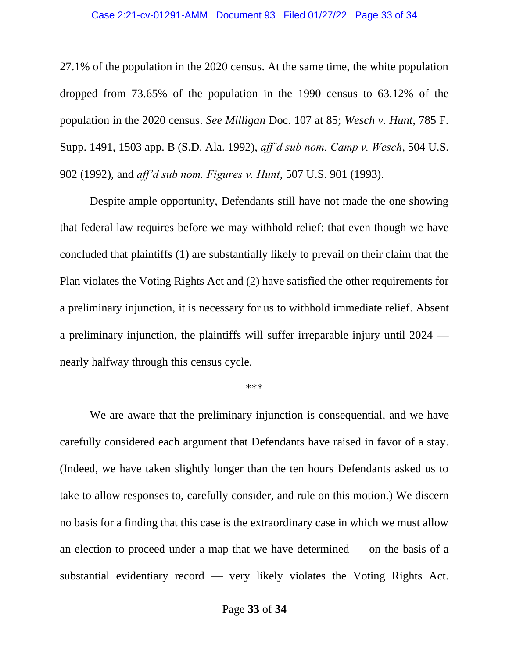#### Case 2:21-cv-01291-AMM Document 93 Filed 01/27/22 Page 33 of 34

27.1% of the population in the 2020 census. At the same time, the white population dropped from 73.65% of the population in the 1990 census to 63.12% of the population in the 2020 census. *See Milligan* Doc. 107 at 85; *Wesch v. Hunt*, 785 F. Supp. 1491, 1503 app. B (S.D. Ala. 1992), *aff'd sub nom. Camp v. Wesch*, 504 U.S. 902 (1992), and *aff'd sub nom. Figures v. Hunt*, 507 U.S. 901 (1993).

Despite ample opportunity, Defendants still have not made the one showing that federal law requires before we may withhold relief: that even though we have concluded that plaintiffs (1) are substantially likely to prevail on their claim that the Plan violates the Voting Rights Act and (2) have satisfied the other requirements for a preliminary injunction, it is necessary for us to withhold immediate relief. Absent a preliminary injunction, the plaintiffs will suffer irreparable injury until 2024 nearly halfway through this census cycle.

#### \*\*\*

We are aware that the preliminary injunction is consequential, and we have carefully considered each argument that Defendants have raised in favor of a stay. (Indeed, we have taken slightly longer than the ten hours Defendants asked us to take to allow responses to, carefully consider, and rule on this motion.) We discern no basis for a finding that this case is the extraordinary case in which we must allow an election to proceed under a map that we have determined — on the basis of a substantial evidentiary record — very likely violates the Voting Rights Act.